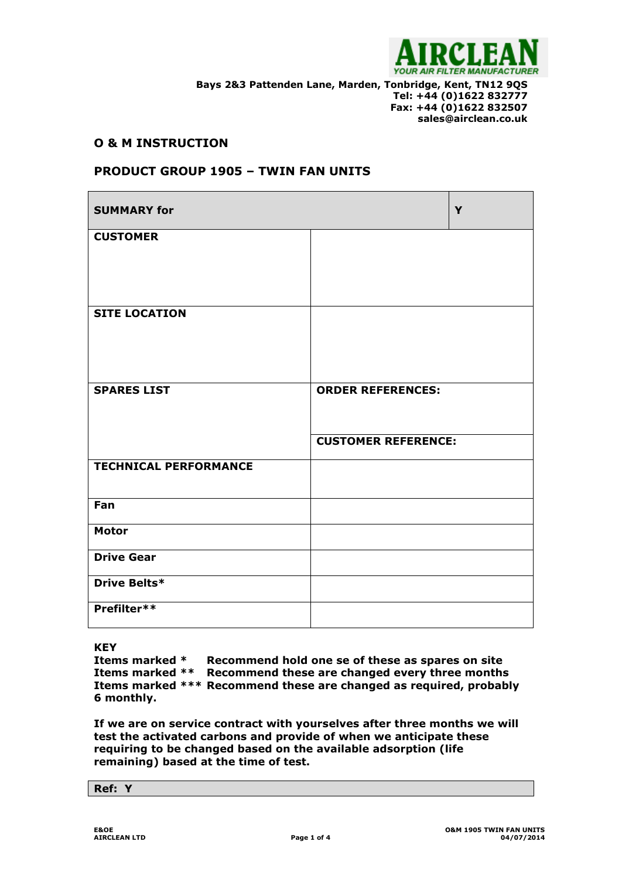

**Bays 2&3 Pattenden Lane, Marden, Tonbridge, Kent, TN12 9QS Tel: +44 (0)1622 832777 Fax: +44 (0)1622 832507 sales@airclean.co.uk**

## **O & M INSTRUCTION**

# **PRODUCT GROUP 1905 – TWIN FAN UNITS**

| <b>SUMMARY for</b>           |                            | Y |
|------------------------------|----------------------------|---|
| <b>CUSTOMER</b>              |                            |   |
| <b>SITE LOCATION</b>         |                            |   |
| <b>SPARES LIST</b>           | <b>ORDER REFERENCES:</b>   |   |
|                              | <b>CUSTOMER REFERENCE:</b> |   |
| <b>TECHNICAL PERFORMANCE</b> |                            |   |
| Fan                          |                            |   |
| <b>Motor</b>                 |                            |   |
| <b>Drive Gear</b>            |                            |   |
| Drive Belts*                 |                            |   |
| Prefilter**                  |                            |   |

**KEY**

**Items marked \* Recommend hold one se of these as spares on site Items marked \*\* Recommend these are changed every three months Items marked \*\*\* Recommend these are changed as required, probably 6 monthly.**

**If we are on service contract with yourselves after three months we will test the activated carbons and provide of when we anticipate these requiring to be changed based on the available adsorption (life remaining) based at the time of test.**

**Ref: Y**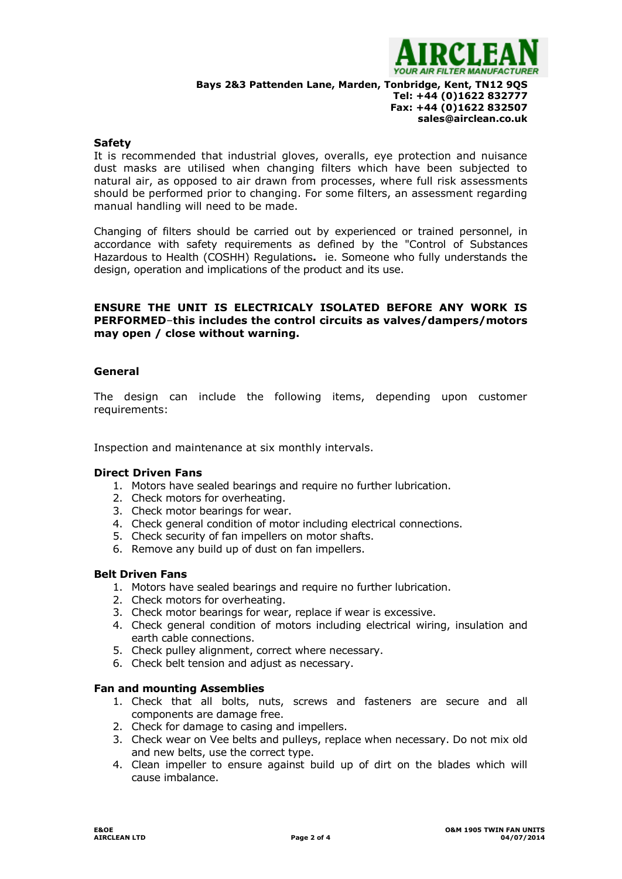

**Bays 2&3 Pattenden Lane, Marden, Tonbridge, Kent, TN12 9QS**

## **Tel: +44 (0)1622 832777 Fax: +44 (0)1622 832507 sales@airclean.co.uk**

## **Safety**

It is recommended that industrial gloves, overalls, eye protection and nuisance dust masks are utilised when changing filters which have been subjected to natural air, as opposed to air drawn from processes, where full risk assessments should be performed prior to changing. For some filters, an assessment regarding manual handling will need to be made.

Changing of filters should be carried out by experienced or trained personnel, in accordance with safety requirements as defined by the "Control of Substances Hazardous to Health (COSHH) Regulations**.** ie. Someone who fully understands the design, operation and implications of the product and its use.

## **ENSURE THE UNIT IS ELECTRICALY ISOLATED BEFORE ANY WORK IS PERFORMED**–**this includes the control circuits as valves/dampers/motors may open / close without warning.**

## **General**

The design can include the following items, depending upon customer requirements:

Inspection and maintenance at six monthly intervals.

## **Direct Driven Fans**

- 1. Motors have sealed bearings and require no further lubrication.
- 2. Check motors for overheating.
- 3. Check motor bearings for wear.
- 4. Check general condition of motor including electrical connections.
- 5. Check security of fan impellers on motor shafts.
- 6. Remove any build up of dust on fan impellers.

## **Belt Driven Fans**

- 1. Motors have sealed bearings and require no further lubrication.
- 2. Check motors for overheating.
- 3. Check motor bearings for wear, replace if wear is excessive.
- 4. Check general condition of motors including electrical wiring, insulation and earth cable connections.
- 5. Check pulley alignment, correct where necessary.
- 6. Check belt tension and adjust as necessary.

## **Fan and mounting Assemblies**

- 1. Check that all bolts, nuts, screws and fasteners are secure and all components are damage free.
- 2. Check for damage to casing and impellers.
- 3. Check wear on Vee belts and pulleys, replace when necessary. Do not mix old and new belts, use the correct type.
- 4. Clean impeller to ensure against build up of dirt on the blades which will cause imbalance.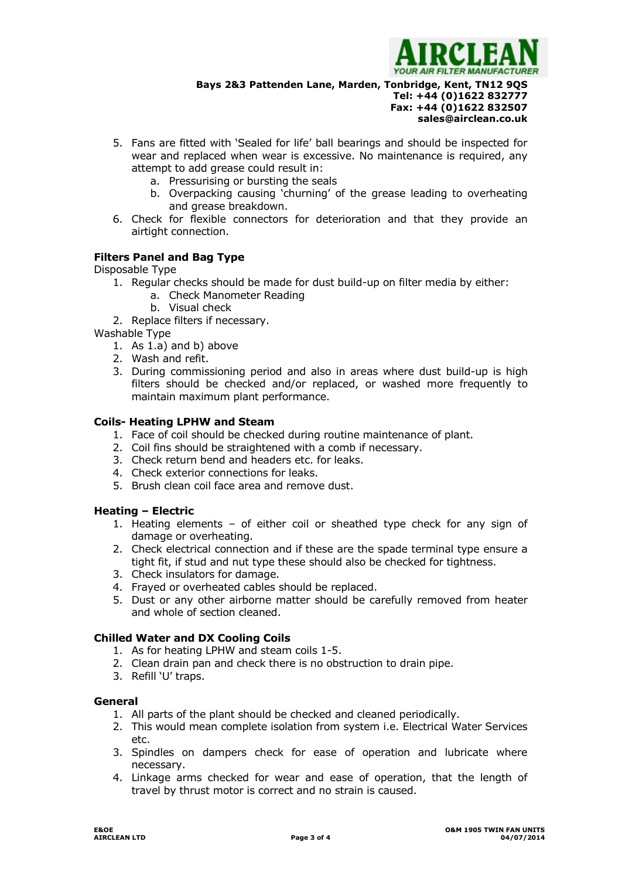

**Bays 2&3 Pattenden Lane, Marden, Tonbridge, Kent, TN12 9QS**

# **Tel: +44 (0)1622 832777 Fax: +44 (0)1622 832507 sales@airclean.co.uk**

- 5. Fans are fitted with 'Sealed for life' ball bearings and should be inspected for wear and replaced when wear is excessive. No maintenance is required, any attempt to add grease could result in:
	- a. Pressurising or bursting the seals
	- b. Overpacking causing 'churning' of the grease leading to overheating and grease breakdown.
- 6. Check for flexible connectors for deterioration and that they provide an airtight connection.

## **Filters Panel and Bag Type**

Disposable Type

- 1. Regular checks should be made for dust build-up on filter media by either:
	- a. Check Manometer Reading
	- b. Visual check
- 2. Replace filters if necessary.

Washable Type

- 1. As 1.a) and b) above
- 2. Wash and refit.
- 3. During commissioning period and also in areas where dust build-up is high filters should be checked and/or replaced, or washed more frequently to maintain maximum plant performance.

### **Coils- Heating LPHW and Steam**

- 1. Face of coil should be checked during routine maintenance of plant.
- 2. Coil fins should be straightened with a comb if necessary.
- 3. Check return bend and headers etc. for leaks.
- 4. Check exterior connections for leaks.
- 5. Brush clean coil face area and remove dust.

## **Heating – Electric**

- 1. Heating elements of either coil or sheathed type check for any sign of damage or overheating.
- 2. Check electrical connection and if these are the spade terminal type ensure a tight fit, if stud and nut type these should also be checked for tightness.
- 3. Check insulators for damage.
- 4. Frayed or overheated cables should be replaced.
- 5. Dust or any other airborne matter should be carefully removed from heater and whole of section cleaned.

## **Chilled Water and DX Cooling Coils**

- 1. As for heating LPHW and steam coils 1-5.
- 2. Clean drain pan and check there is no obstruction to drain pipe.
- 3. Refill 'U' traps.

#### **General**

- 1. All parts of the plant should be checked and cleaned periodically.
- 2. This would mean complete isolation from system i.e. Electrical Water Services etc.
- 3. Spindles on dampers check for ease of operation and lubricate where necessary.
- 4. Linkage arms checked for wear and ease of operation, that the length of travel by thrust motor is correct and no strain is caused.